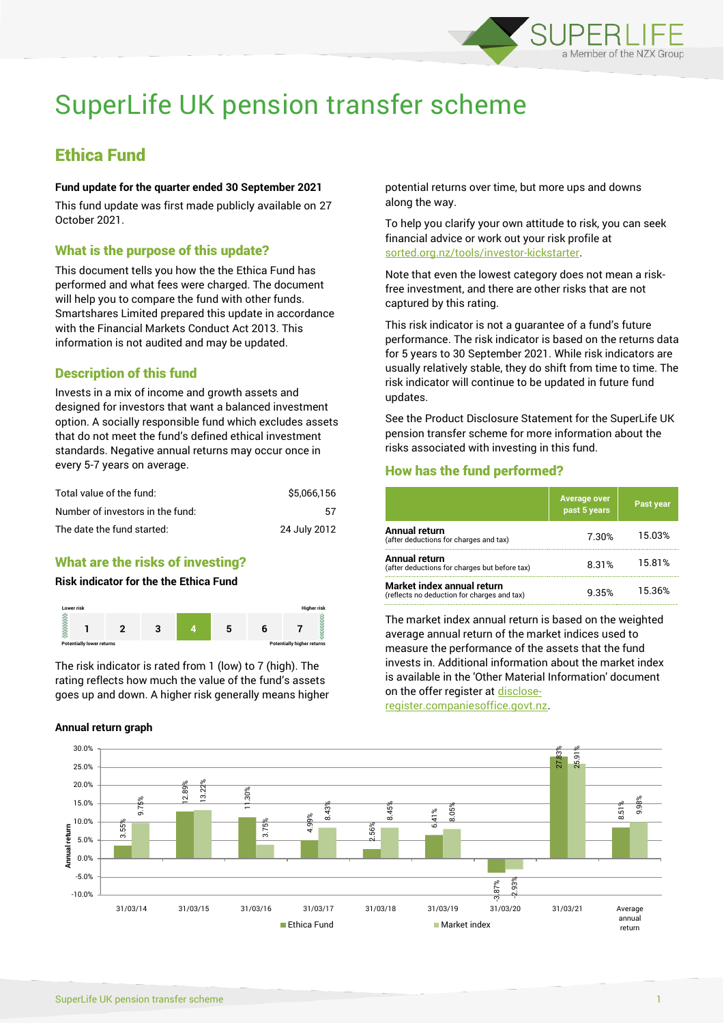

# SuperLife UK pension transfer scheme

## Ethica Fund

#### **Fund update for the quarter ended 30 September 2021**

This fund update was first made publicly available on 27 October 2021.

## What is the purpose of this update?

This document tells you how the the Ethica Fund has performed and what fees were charged. The document will help you to compare the fund with other funds. Smartshares Limited prepared this update in accordance with the Financial Markets Conduct Act 2013. This information is not audited and may be updated.

## Description of this fund

Invests in a mix of income and growth assets and designed for investors that want a balanced investment option. A socially responsible fund which excludes assets that do not meet the fund's defined ethical investment standards. Negative annual returns may occur once in every 5-7 years on average.

| Total value of the fund:         | \$5.066.156  |
|----------------------------------|--------------|
| Number of investors in the fund: | 57           |
| The date the fund started:       | 24 July 2012 |

## What are the risks of investing?

#### **Risk indicator for the the Ethica Fund**



The risk indicator is rated from 1 (low) to 7 (high). The rating reflects how much the value of the fund's assets goes up and down. A higher risk generally means higher

#### **Annual return graph**

potential returns over time, but more ups and downs along the way.

To help you clarify your own attitude to risk, you can seek financial advice or work out your risk profile at [sorted.org.nz/tools/investor-kickstarter.](http://www.sorted.org.nz/tools/investor-kickstarter)

Note that even the lowest category does not mean a riskfree investment, and there are other risks that are not captured by this rating.

This risk indicator is not a guarantee of a fund's future performance. The risk indicator is based on the returns data for 5 years to 30 September 2021. While risk indicators are usually relatively stable, they do shift from time to time. The risk indicator will continue to be updated in future fund updates.

See the Product Disclosure Statement for the SuperLife UK pension transfer scheme for more information about the risks associated with investing in this fund.

## How has the fund performed?

|                                                                           | <b>Average over</b><br>past 5 years | Past year |
|---------------------------------------------------------------------------|-------------------------------------|-----------|
| Annual return<br>(after deductions for charges and tax)                   | 7.30%                               | 15.03%    |
| Annual return<br>(after deductions for charges but before tax)            | 8.31%                               | 15.81%    |
| Market index annual return<br>(reflects no deduction for charges and tax) | 9.35%                               | 15.36%    |

The market index annual return is based on the weighted average annual return of the market indices used to measure the performance of the assets that the fund invests in. Additional information about the market index is available in the 'Other Material Information' document on the offer register a[t disclose-](http://www.disclose-register.companiesoffice.govt.nz/)

[register.companiesoffice.govt.nz.](http://www.disclose-register.companiesoffice.govt.nz/)

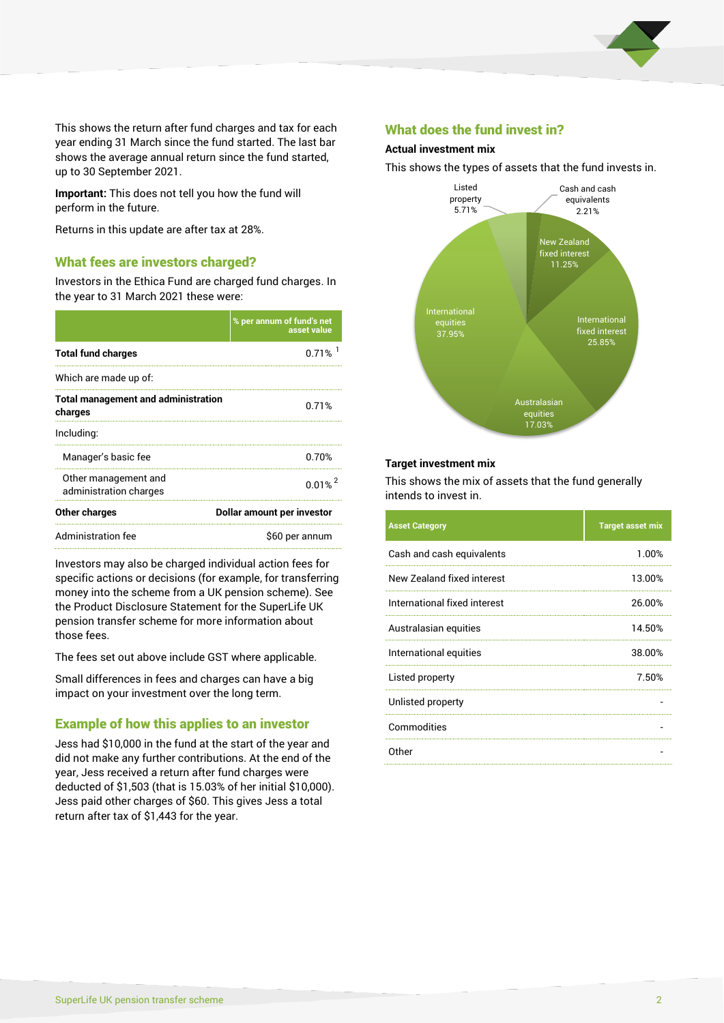

This shows the return after fund charges and tax for each year ending 31 March since the fund started. The last bar shows the average annual return since the fund started, up to 30 September 2021.

**Important:** This does not tell you how the fund will perform in the future.

Returns in this update are after tax at 28%.

#### What fees are investors charged?

Investors in the Ethica Fund are charged fund charges. In the year to 31 March 2021 these were:

|                                                       | % per annum of fund's net<br>asset value |  |
|-------------------------------------------------------|------------------------------------------|--|
| <b>Total fund charges</b>                             | 0.71%                                    |  |
| Which are made up of:                                 |                                          |  |
| <b>Total management and administration</b><br>charges | 0.71%                                    |  |
| Including:                                            |                                          |  |
| Manager's basic fee                                   | 0.70%                                    |  |
| Other management and<br>administration charges        | $0.01%^{2}$                              |  |
| Other charges                                         | Dollar amount per investor               |  |
| Administration fee                                    | \$60 per annum                           |  |

Investors may also be charged individual action fees for specific actions or decisions (for example, for transferring money into the scheme from a UK pension scheme). See the Product Disclosure Statement for the SuperLife UK pension transfer scheme for more information about those fees.

The fees set out above include GST where applicable.

Small differences in fees and charges can have a big impact on your investment over the long term.

## Example of how this applies to an investor

Jess had \$10,000 in the fund at the start of the year and did not make any further contributions. At the end of the year, Jess received a return after fund charges were deducted of \$1,503 (that is 15.03% of her initial \$10,000). Jess paid other charges of \$60. This gives Jess a total return after tax of \$1,443 for the year.

#### What does the fund invest in?

#### **Actual investment mix**

This shows the types of assets that the fund invests in.



#### **Target investment mix**

This shows the mix of assets that the fund generally intends to invest in.

| <b>Asset Category</b>        | <b>Target asset mix</b> |
|------------------------------|-------------------------|
| Cash and cash equivalents    | 1.00%                   |
| New Zealand fixed interest   | 13.00%                  |
| International fixed interest | 26.00%                  |
| Australasian equities        | 14.50%                  |
| International equities       | 38.00%                  |
| Listed property              | 7.50%                   |
| Unlisted property            |                         |
| Commodities                  |                         |
| Other                        |                         |